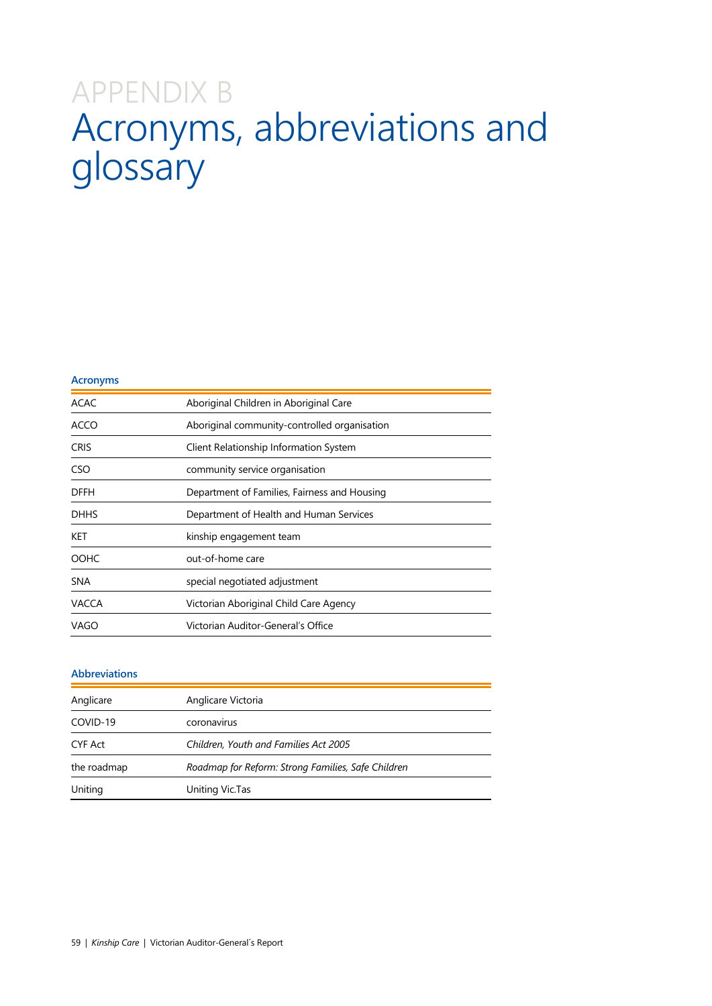## APPENDIX B Acronyms, abbreviations and glossary

| <b>Acronyms</b> |                                              |
|-----------------|----------------------------------------------|
| <b>ACAC</b>     | Aboriginal Children in Aboriginal Care       |
| ACCO            | Aboriginal community-controlled organisation |
| <b>CRIS</b>     | Client Relationship Information System       |
| CSO             | community service organisation               |
| <b>DFFH</b>     | Department of Families, Fairness and Housing |
| <b>DHHS</b>     | Department of Health and Human Services      |
| KET             | kinship engagement team                      |
| <b>OOHC</b>     | out-of-home care                             |
| <b>SNA</b>      | special negotiated adjustment                |
| <b>VACCA</b>    | Victorian Aboriginal Child Care Agency       |
| <b>VAGO</b>     | Victorian Auditor-General's Office           |

## **Abbreviations**

| Anglicare   | Anglicare Victoria                                 |
|-------------|----------------------------------------------------|
| COVID-19    | coronavirus                                        |
| CYF Act     | Children, Youth and Families Act 2005              |
| the roadmap | Roadmap for Reform: Strong Families, Safe Children |
| Uniting     | Uniting Vic.Tas                                    |